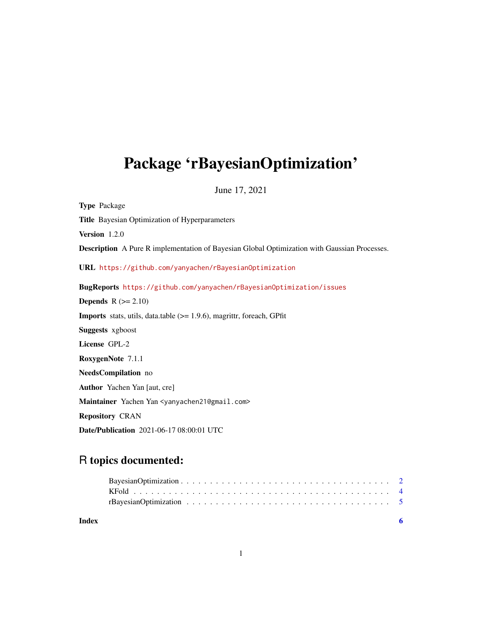## <span id="page-0-0"></span>Package 'rBayesianOptimization'

June 17, 2021

Type Package Title Bayesian Optimization of Hyperparameters Version 1.2.0 Description A Pure R implementation of Bayesian Global Optimization with Gaussian Processes. URL <https://github.com/yanyachen/rBayesianOptimization> BugReports <https://github.com/yanyachen/rBayesianOptimization/issues> **Depends**  $R$  ( $>= 2.10$ ) Imports stats, utils, data.table (>= 1.9.6), magrittr, foreach, GPfit Suggests xgboost License GPL-2 RoxygenNote 7.1.1 NeedsCompilation no Author Yachen Yan [aut, cre] Maintainer Yachen Yan <yanyachen21@gmail.com> Repository CRAN Date/Publication 2021-06-17 08:00:01 UTC

### R topics documented:

| Index |  |
|-------|--|
|       |  |
|       |  |
|       |  |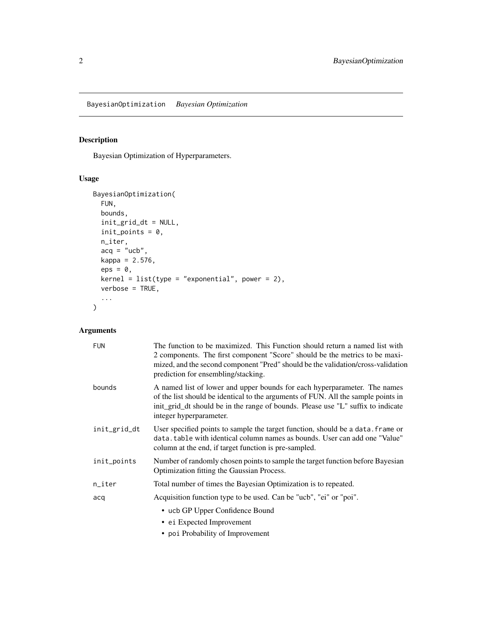<span id="page-1-0"></span>BayesianOptimization *Bayesian Optimization*

#### Description

Bayesian Optimization of Hyperparameters.

#### Usage

```
BayesianOptimization(
  FUN,
  bounds,
  init_grid_dt = NULL,
  init\_points = 0,n_iter,
  acq = "ucb",kappa = 2.576,
  eps = 0,
  \text{kernel} = \text{list}(\text{type} = \text{"exponential", power = 2}),verbose = TRUE,
  ...
)
```
#### Arguments

| <b>FUN</b>   | The function to be maximized. This Function should return a named list with<br>2 components. The first component "Score" should be the metrics to be maxi-<br>mized, and the second component "Pred" should be the validation/cross-validation<br>prediction for ensembling/stacking. |
|--------------|---------------------------------------------------------------------------------------------------------------------------------------------------------------------------------------------------------------------------------------------------------------------------------------|
| bounds       | A named list of lower and upper bounds for each hyperparameter. The names<br>of the list should be identical to the arguments of FUN. All the sample points in<br>init_grid_dt should be in the range of bounds. Please use "L" suffix to indicate<br>integer hyperparameter.         |
| init_grid_dt | User specified points to sample the target function, should be a data. frame or<br>data. table with identical column names as bounds. User can add one "Value"<br>column at the end, if target function is pre-sampled.                                                               |
| init_points  | Number of randomly chosen points to sample the target function before Bayesian<br>Optimization fitting the Gaussian Process.                                                                                                                                                          |
| n_iter       | Total number of times the Bayesian Optimization is to repeated.                                                                                                                                                                                                                       |
| acq          | Acquisition function type to be used. Can be "ucb", "ei" or "poi".                                                                                                                                                                                                                    |
|              | • ucb GP Upper Confidence Bound                                                                                                                                                                                                                                                       |
|              | • ei Expected Improvement                                                                                                                                                                                                                                                             |
|              | • poi Probability of Improvement                                                                                                                                                                                                                                                      |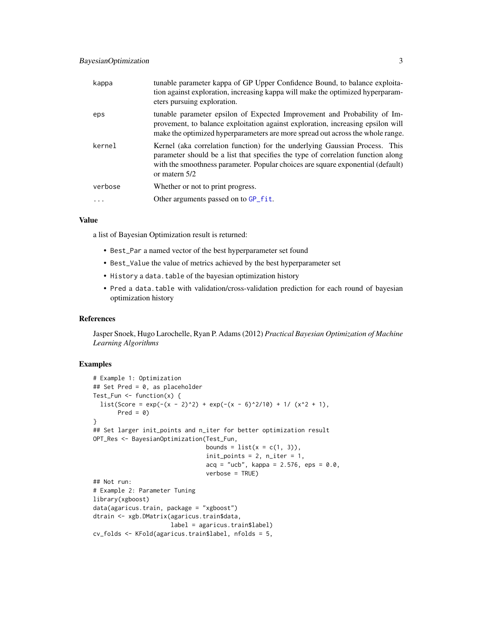<span id="page-2-0"></span>

| kappa   | tunable parameter kappa of GP Upper Confidence Bound, to balance exploita-<br>tion against exploration, increasing kappa will make the optimized hyperparam-<br>eters pursuing exploration.                                                                         |
|---------|---------------------------------------------------------------------------------------------------------------------------------------------------------------------------------------------------------------------------------------------------------------------|
| eps     | tunable parameter epsilon of Expected Improvement and Probability of Im-<br>provement, to balance exploitation against exploration, increasing epsilon will<br>make the optimized hyperparameters are more spread out across the whole range.                       |
| kernel  | Kernel (aka correlation function) for the underlying Gaussian Process. This<br>parameter should be a list that specifies the type of correlation function along<br>with the smoothness parameter. Popular choices are square exponential (default)<br>or matern 5/2 |
| verbose | Whether or not to print progress.                                                                                                                                                                                                                                   |
| .       | Other arguments passed on to GP fit.                                                                                                                                                                                                                                |
|         |                                                                                                                                                                                                                                                                     |

#### Value

a list of Bayesian Optimization result is returned:

- Best\_Par a named vector of the best hyperparameter set found
- Best\_Value the value of metrics achieved by the best hyperparameter set
- History a data.table of the bayesian optimization history
- Pred a data.table with validation/cross-validation prediction for each round of bayesian optimization history

#### References

Jasper Snoek, Hugo Larochelle, Ryan P. Adams (2012) *Practical Bayesian Optimization of Machine Learning Algorithms*

#### Examples

```
# Example 1: Optimization
## Set Pred = 0, as placeholder
Test_Fun \leq function(x) {
  list(Score = exp(-(x - 2)^2) + exp(-(x - 6)^2/10) + 1/ (x^2 + 1),
       Pred = 0}
## Set larger init_points and n_iter for better optimization result
OPT_Res <- BayesianOptimization(Test_Fun,
                                bounds = list(x = c(1, 3)),
                                init\_points = 2, n\_iter = 1,acq = "ucb", kappa = 2.576,eps = 0.0,verbose = TRUE)
## Not run:
# Example 2: Parameter Tuning
library(xgboost)
data(agaricus.train, package = "xgboost")
dtrain <- xgb.DMatrix(agaricus.train$data,
                      label = agaricus.train$label)
cv_folds <- KFold(agaricus.train$label, nfolds = 5,
```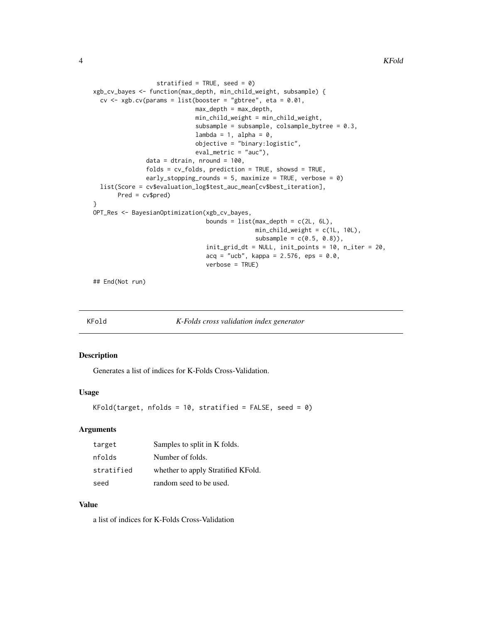```
stratified = TRUE, seed = 0)
xgb_cv_bayes <- function(max_depth, min_child_weight, subsample) {
  cv \leq xgb.cv(params = list(booster = "gbtree", eta = 0.01,max\_depth = max\_depth,min_child_weight = min_child_weight,
                             subsample = subsample, colsample_bytree = 0.3,
                             lambda = 1, alpha = 0,
                             objective = "binary:logistic",
                             eval_metric = "auc"),
               data = dtrain, nround = 100,
               folds = cv_folds, prediction = TRUE, showsd = TRUE,
               early_stopping_rounds = 5, maximize = TRUE, verbose = \theta)
  list(Score = cv$evaluation_log$test_auc_mean[cv$best_iteration],
       Pred = cv$pred)
}
OPT_Res <- BayesianOptimization(xgb_cv_bayes,
                                bounds = list(max_depth = c(2L, 6L),
                                              min_child_weight = c(1L, 10L),
                                               subsample = c(0.5, 0.8),
                                init_grid_dt = NULL, init_points = 10, n_iter = 20,
                                acq = "ucb", kappa = 2.576,eps = 0.0,verbose = TRUE)
```
## End(Not run)

KFold *K-Folds cross validation index generator*

#### Description

Generates a list of indices for K-Folds Cross-Validation.

#### Usage

```
KFold(target, nfolds = 10, stratified = FALSE, seed = 0)
```
#### Arguments

| target     | Samples to split in K folds.       |
|------------|------------------------------------|
| nfolds     | Number of folds.                   |
| stratified | whether to apply Stratified KFold. |
| seed       | random seed to be used.            |

#### Value

a list of indices for K-Folds Cross-Validation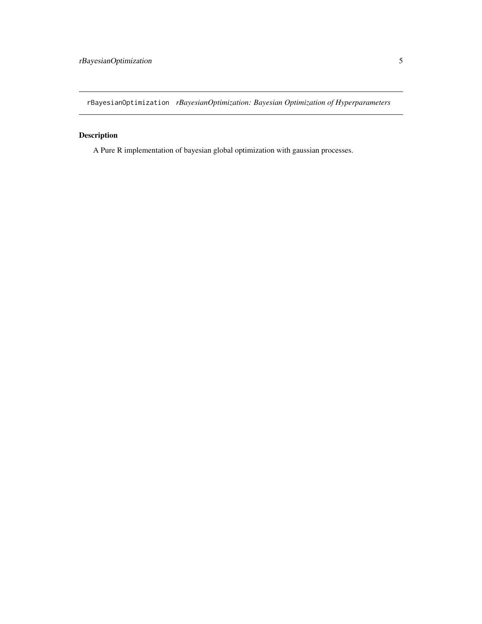<span id="page-4-0"></span>rBayesianOptimization *rBayesianOptimization: Bayesian Optimization of Hyperparameters*

#### Description

A Pure R implementation of bayesian global optimization with gaussian processes.